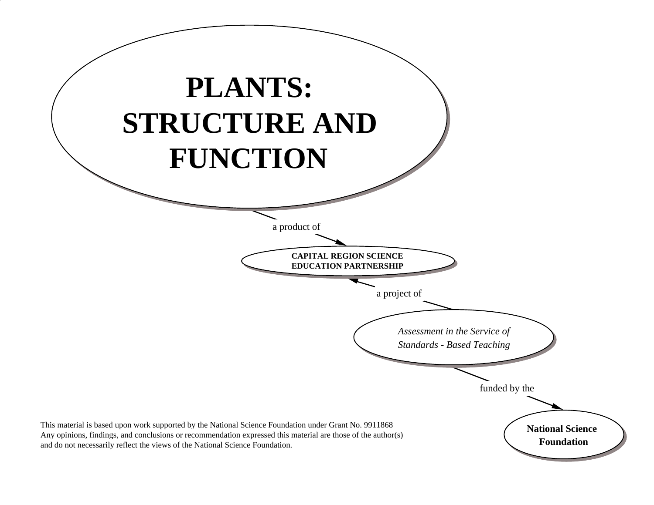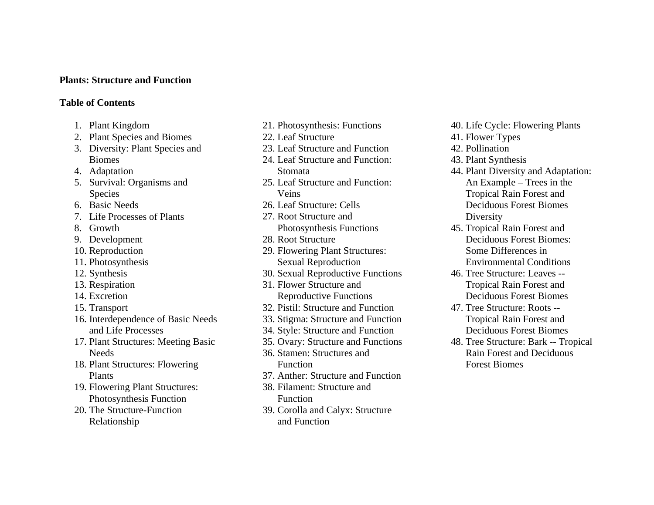### **Plants: Structure and Function**

### **Table of Contents**

- 1. Plant Kingdom
- 2. Plant Species and Biomes
- 3. Diversity: Plant Species and Biomes
- 4. Adaptation
- 5. Survival: Organisms and Species
- 6. Basic Needs
- 7. Life Processes of Plants
- 8. Growth
- 9. Development
- 10. Reproduction
- 11. Photosynthesis
- 12. Synthesis
- 13. Respiration
- 14. Excretion
- 15. Transport
- 16. Interdependence of Basic Needs and Life Processes
- 17. Plant Structures: Meeting Basic **Needs**
- 18. Plant Structures: Flowering Plants
- 19. Flowering Plant Structures: Photosynthesis Function
- 20. The Structure-Function Relationship
- 21. Photosynthesis: Functions
- 22. Leaf Structure
- 23. Leaf Structure and Function
- 24. Leaf Structure and Function: Stomata
- 25. Leaf Structure and Function: Veins
- 26. Leaf Structure: Cells
- 27. Root Structure and
- Photosynthesis Functions 28. Root Structure
- 29. Flowering Plant Structures: Sexual Reproduction
- 30. Sexual Reproductive Functions
- 31. Flower Structure and Reproductive Functions
- 32. Pistil: Structure and Function
- 33. Stigma: Structure and Function
- 34. Style: Structure and Function
- 35. Ovary: Structure and Functions
- 36. Stamen: Structures and Function
- 37. Anther: Structure and Function
- 38. Filament: Structure and
	- Function
- 39. Corolla and Calyx: Structure and Function
- 40. Life Cycle: Flowering Plants
- 41. Flower Types
- 42. Pollination
- 43. Plant Synthesis
- 44. Plant Diversity and Adaptation: An Example – Trees in the Tropical Rain Forest and Deciduous Forest Biomes Diversity
- 45. Tropical Rain Forest and Deciduous Forest Biomes: Some Differences in Environmental Conditions
- 46. Tree Structure: Leaves -- Tropical Rain Forest and Deciduous Forest Biomes
- 47. Tree Structure: Roots -- Tropical Rain Forest and Deciduous Forest Biomes
- 48. Tree Structure: Bark -- Tropical Rain Forest and Deciduous Forest Biomes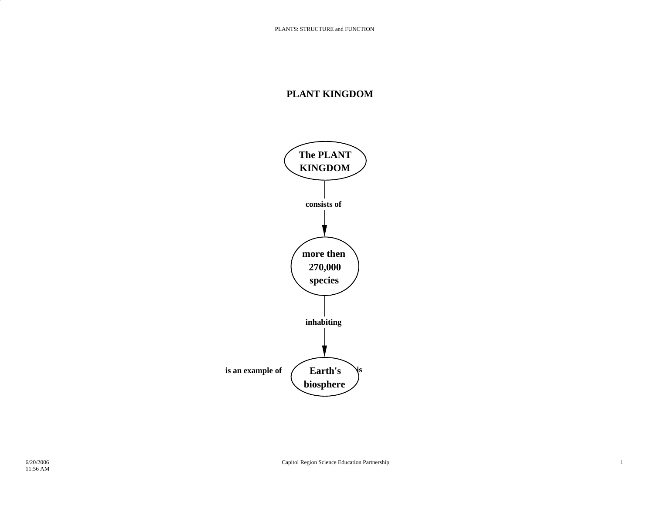## **PLANT KINGDOM**

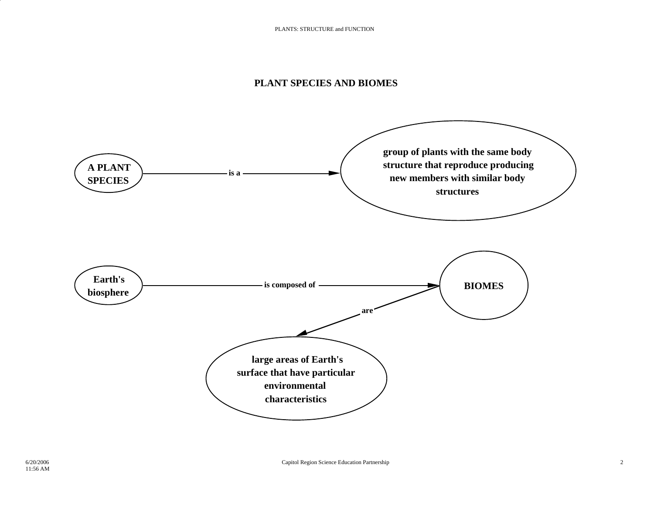### **PLANT SPECIES AND BIOMES**

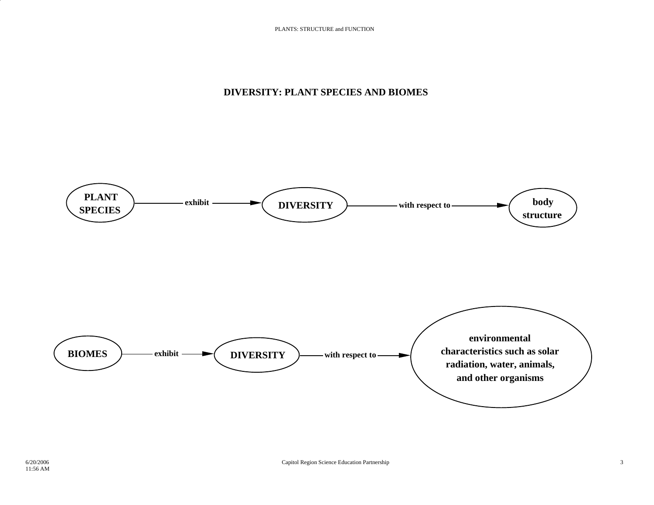## **DIVERSITY: PLANT SPECIES AND BIOMES**

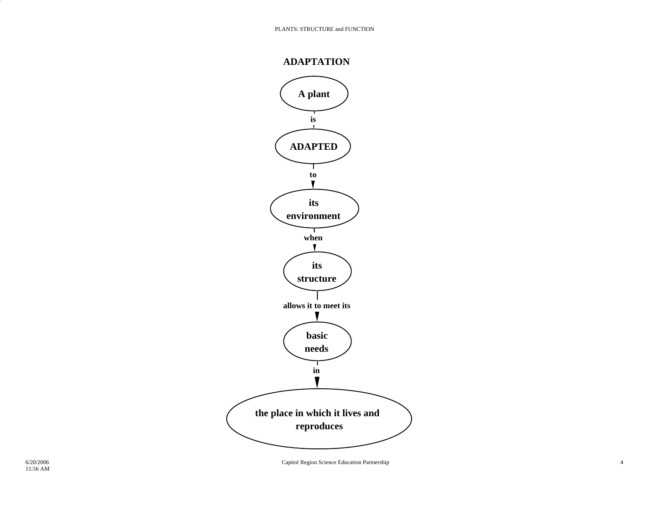

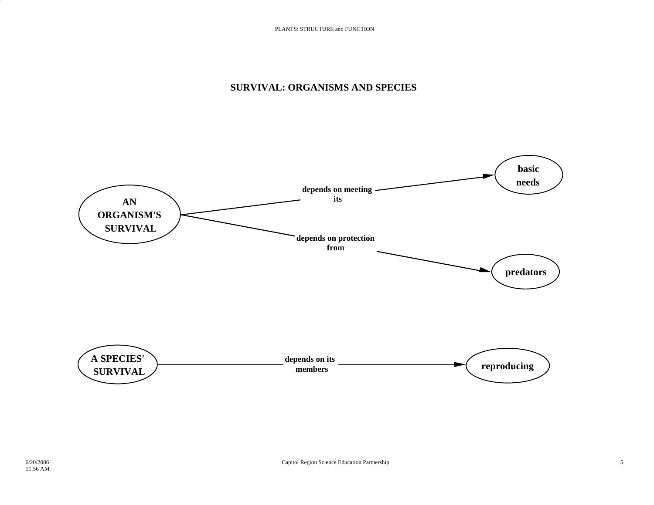### **SURVIVAL: ORGANISMS AND SPECIES**

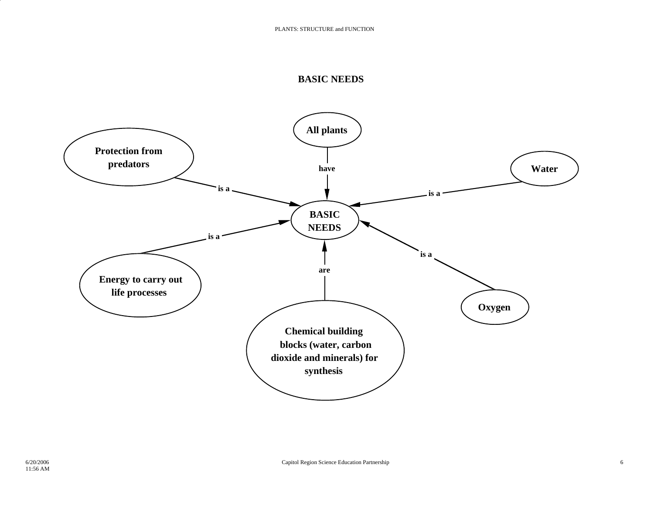#### **BASIC NEEDS**

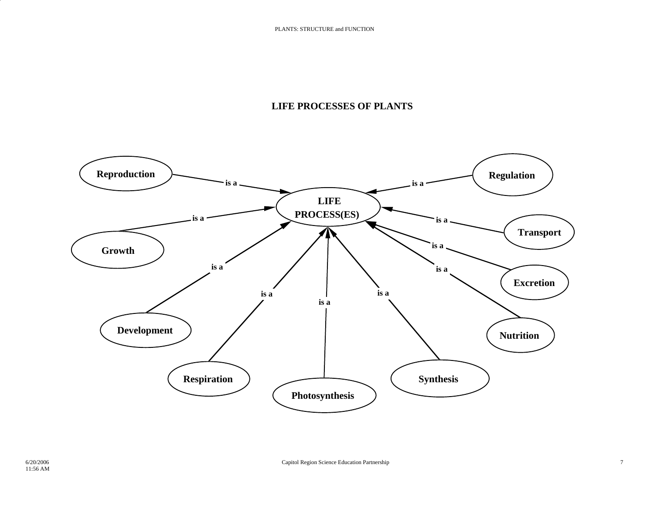## **LIFE PROCESSES OF PLANTS**

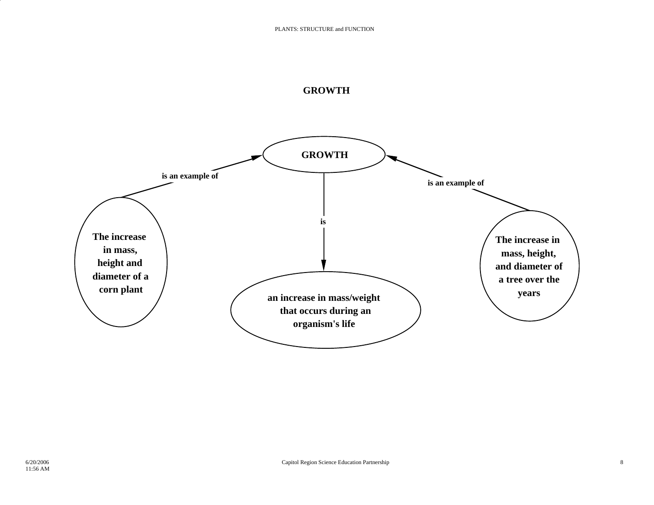

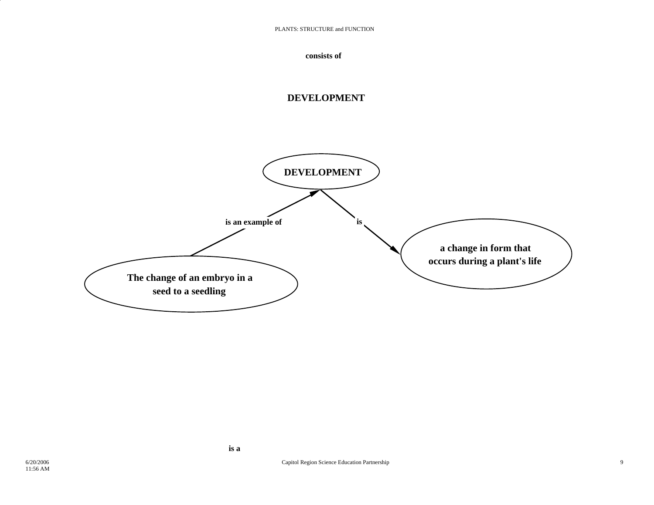

## **DEVELOPMENT**

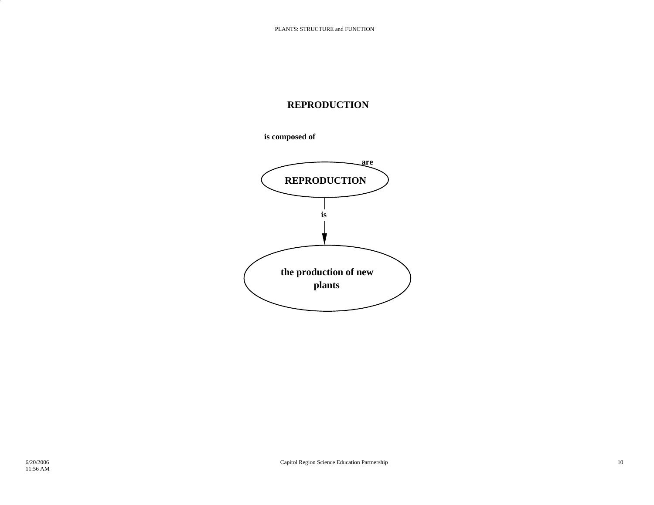### **REPRODUCTION**

**is composed of**

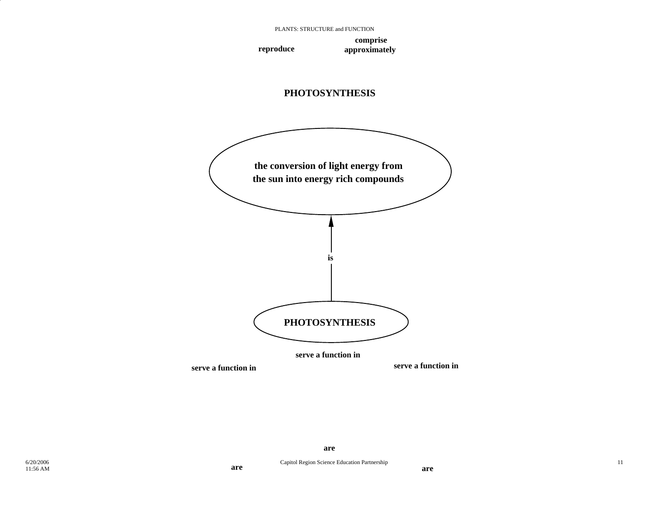**comprise reproduce approximately**





**are**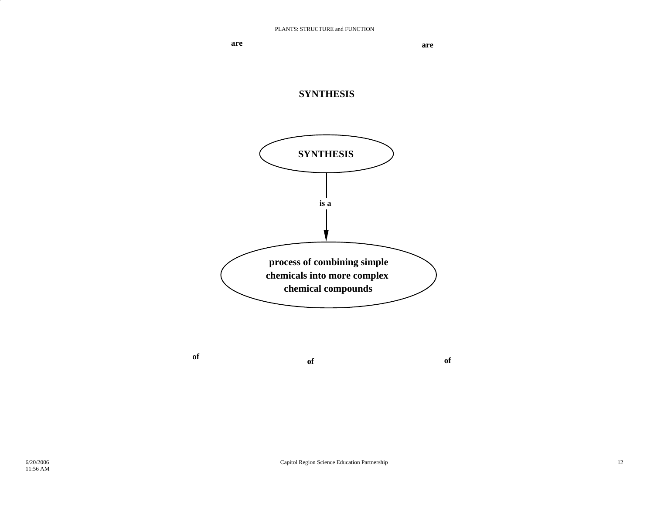**are**are



**of of**

**of**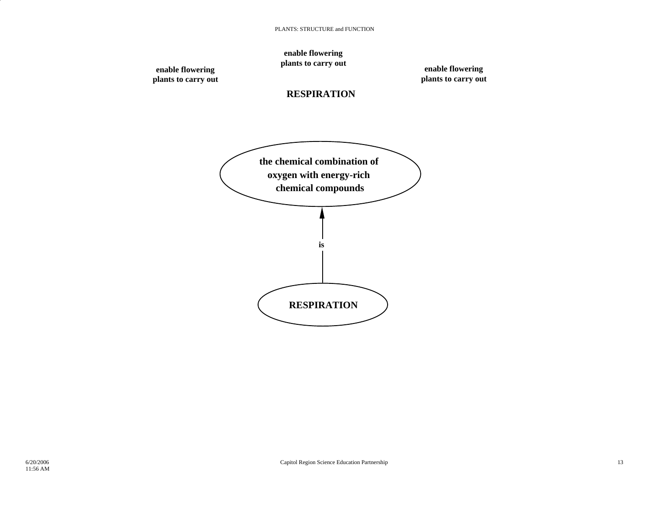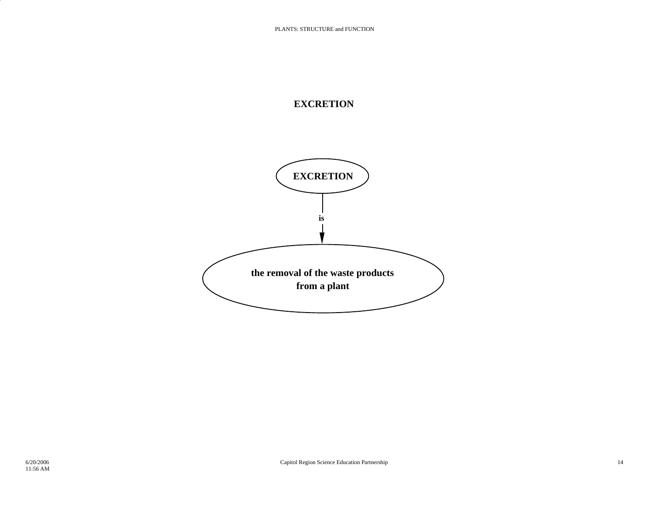## **EXCRETION**

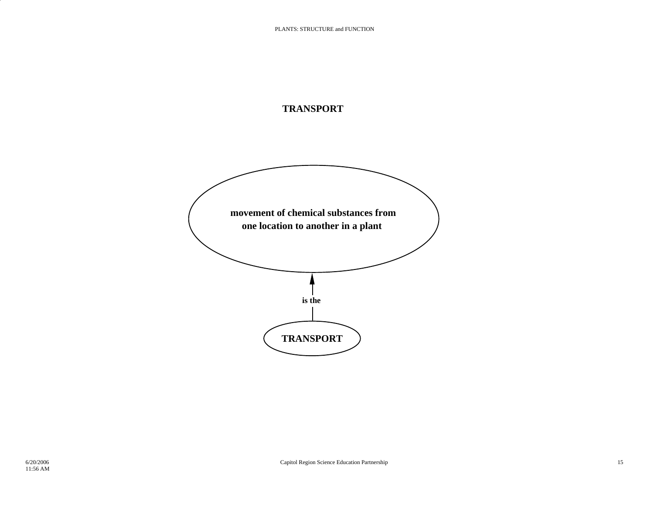## **TRANSPORT**

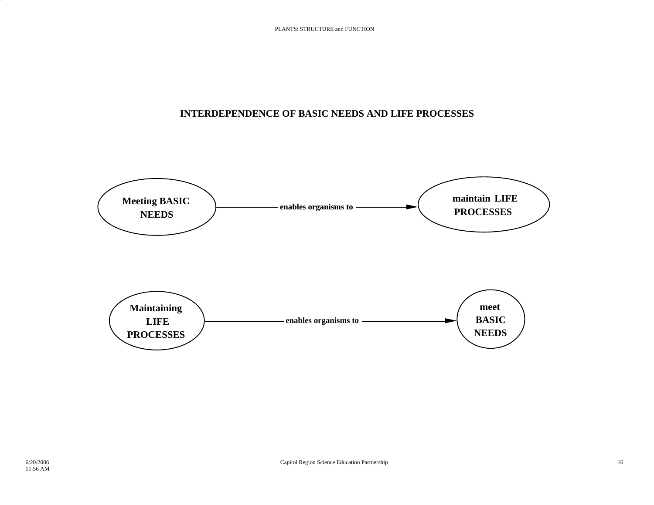## **INTERDEPENDENCE OF BASIC NEEDS AND LIFE PROCESSES**

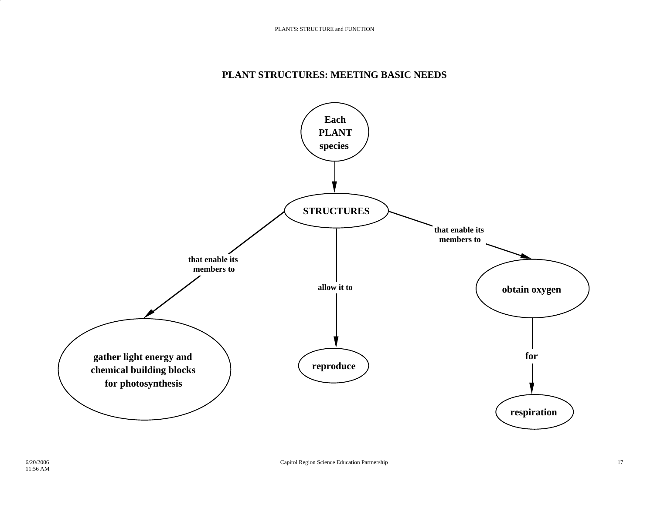### **PLANT STRUCTURES: MEETING BASIC NEEDS**

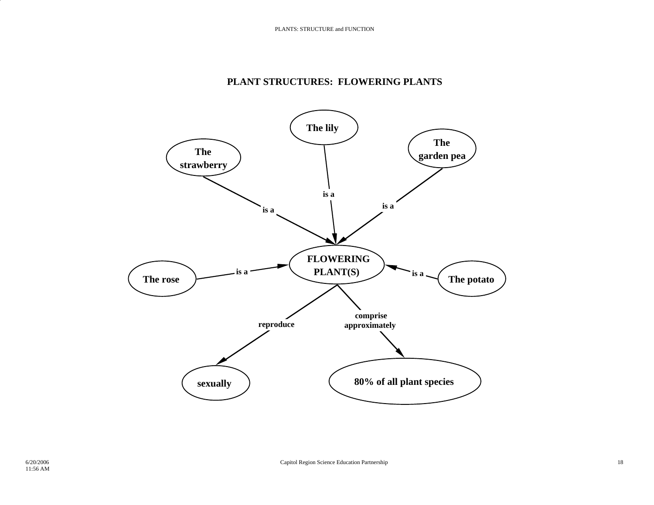### **PLANT STRUCTURES: FLOWERING PLANTS**

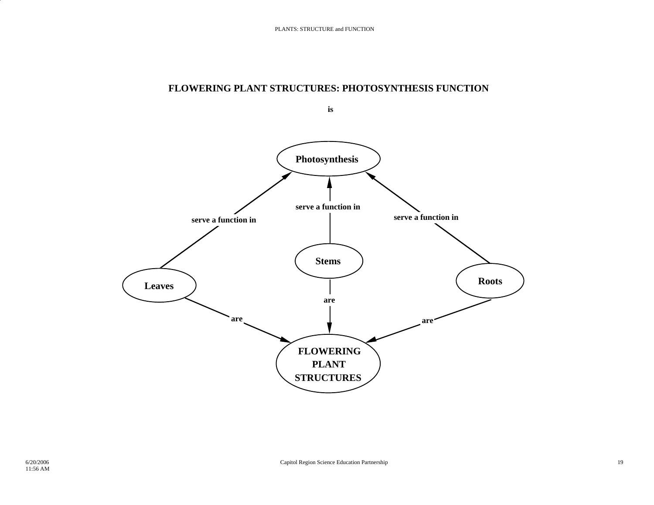### **FLOWERING PLANT STRUCTURES: PHOTOSYNTHESIS FUNCTION**

**is** 

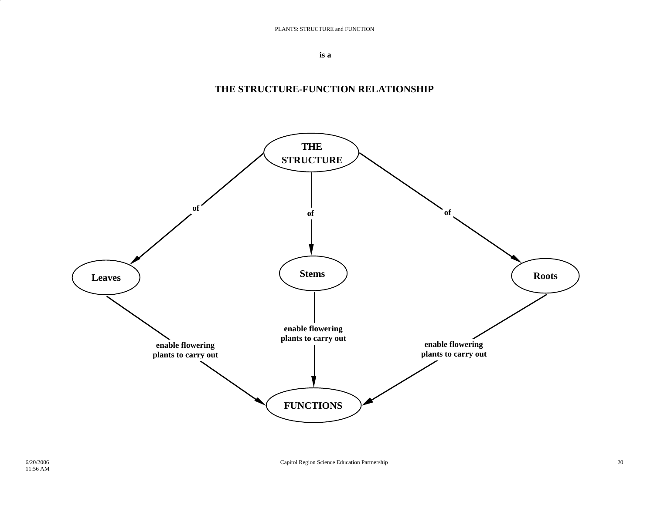**is a**

### **THE STRUCTURE-FUNCTION RELATIONSHIP**

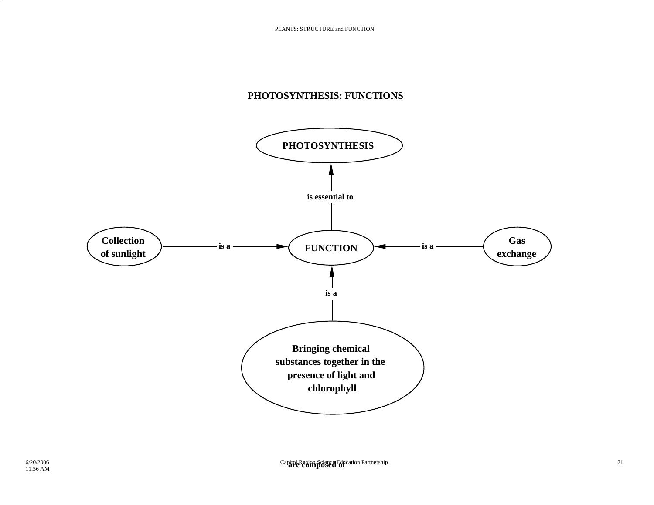## **PHOTOSYNTHESIS: FUNCTIONS**

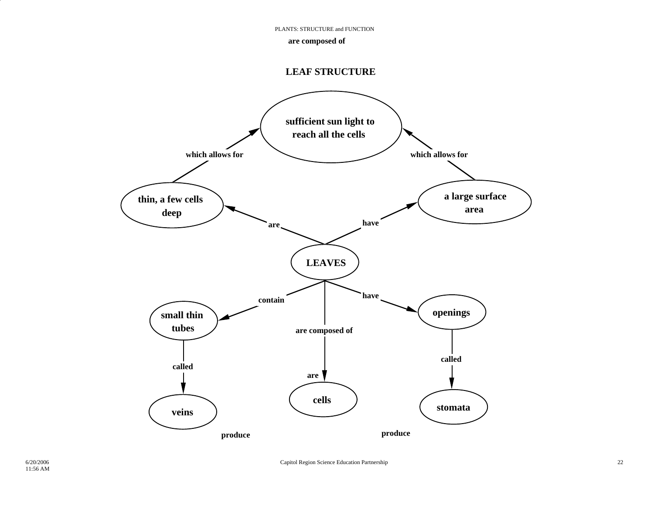PLANTS: STRUCTURE and FUNCTION

#### **are composed of**

#### **LEAF STRUCTURE**

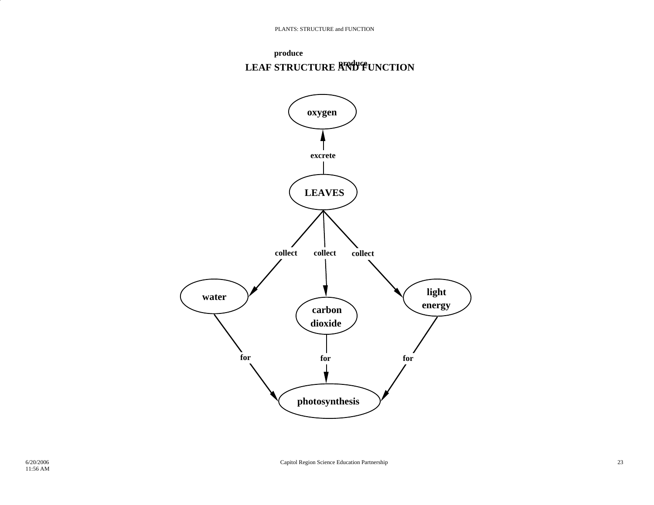

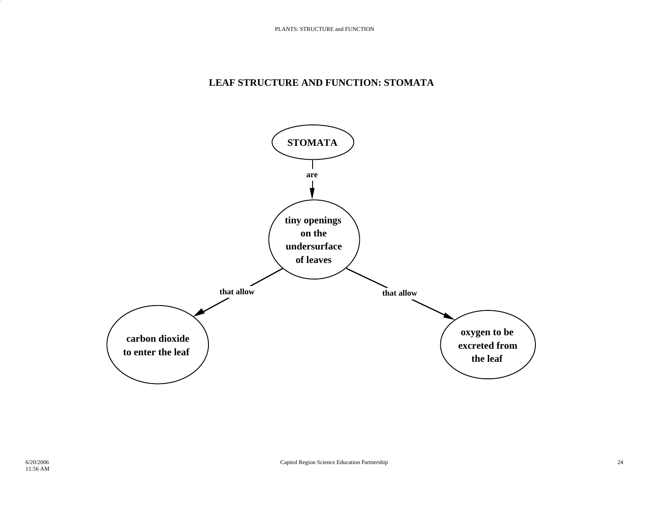### **LEAF STRUCTURE AND FUNCTION: STOMATA**

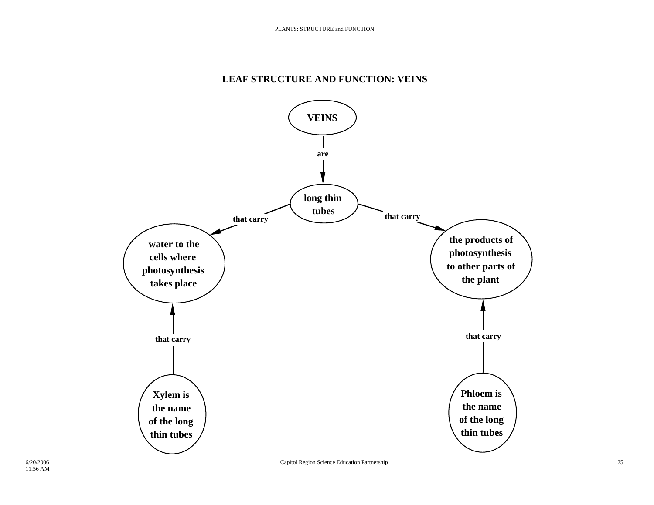## **LEAF STRUCTURE AND FUNCTION: VEINS**

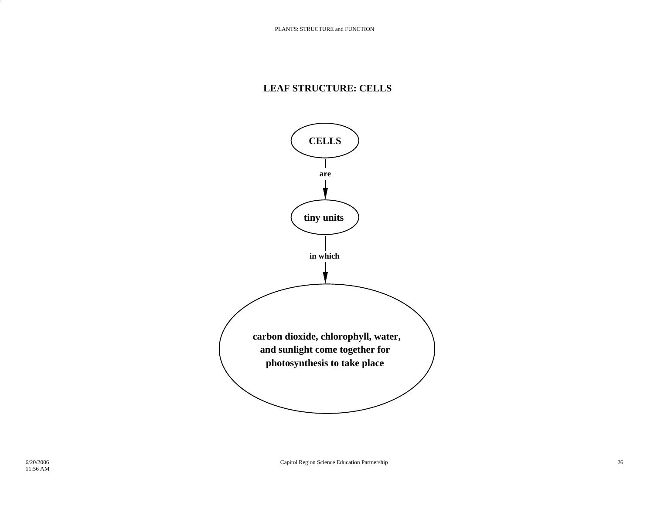### **LEAF STRUCTURE: CELLS**

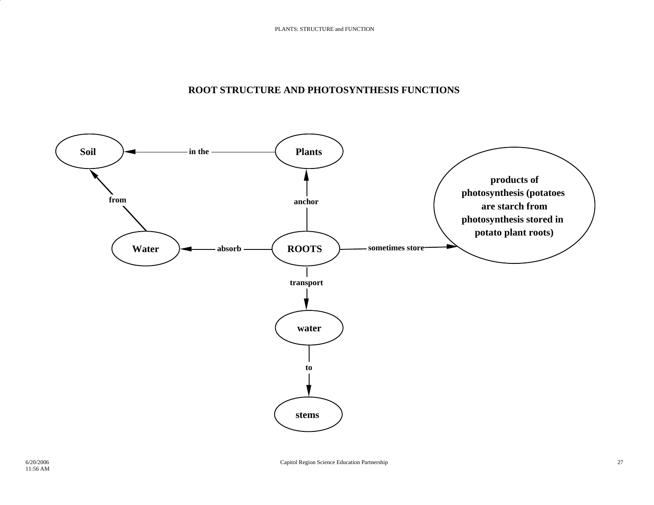### **ROOT STRUCTURE AND PHOTOSYNTHESIS FUNCTIONS**

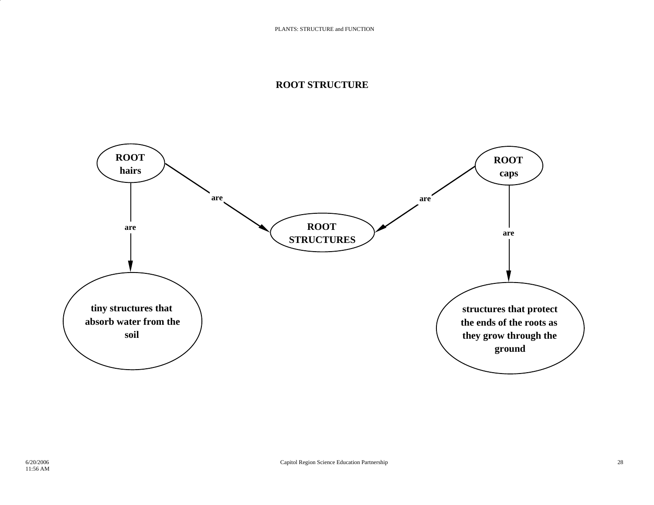#### **ROOT STRUCTURE**

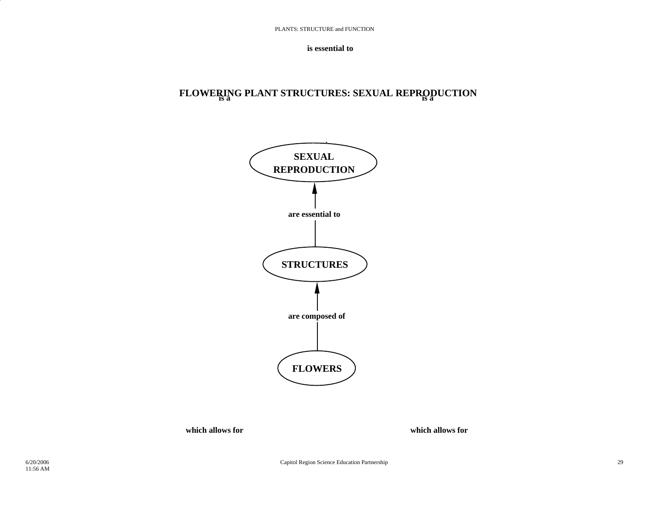**is essential to**

# **is a is a FLOWERING PLANT STRUCTURES: SEXUAL REPRODUCTION**



**which allows for**

**which allows for**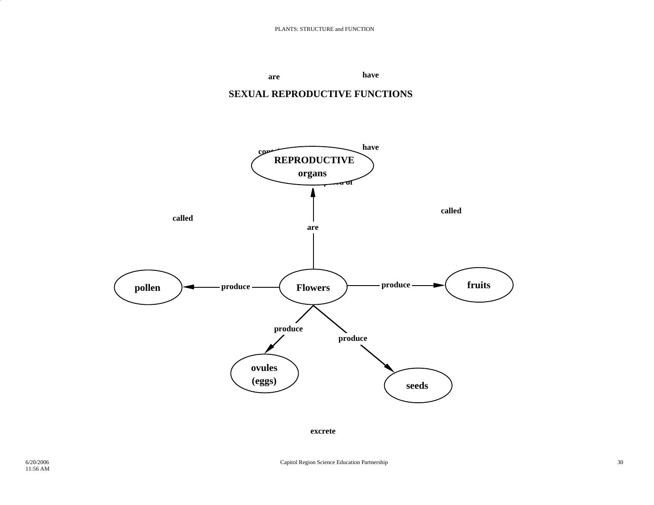





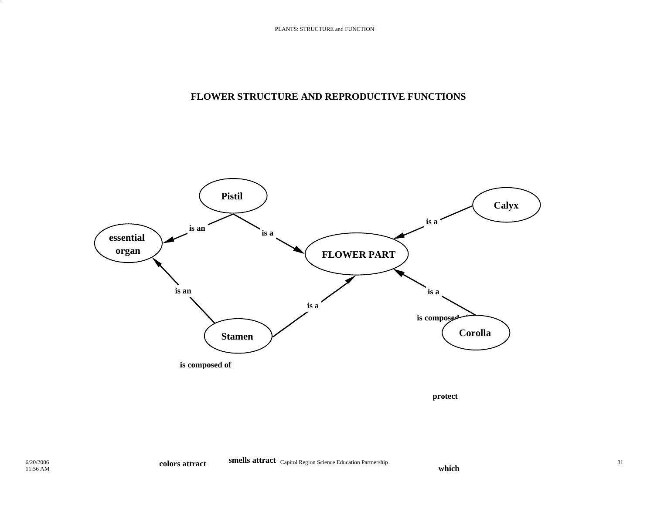## **FLOWER STRUCTURE AND REPRODUCTIVE FUNCTIONS**



**protect**

**which**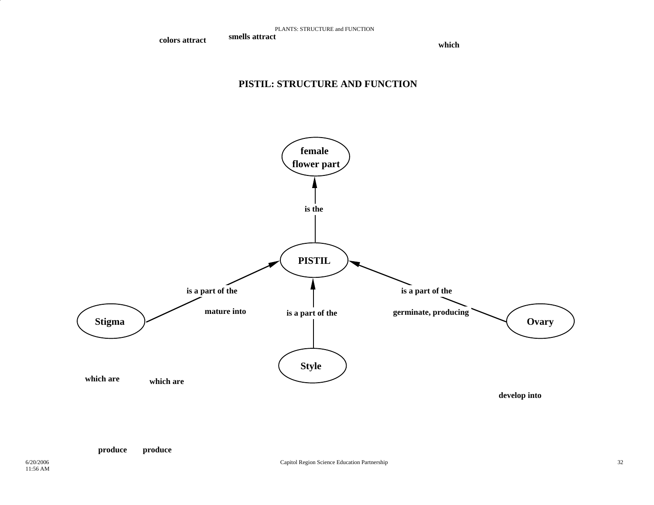**colors attract**

 **smells attract which**which

### **PISTIL: STRUCTURE AND FUNCTION**

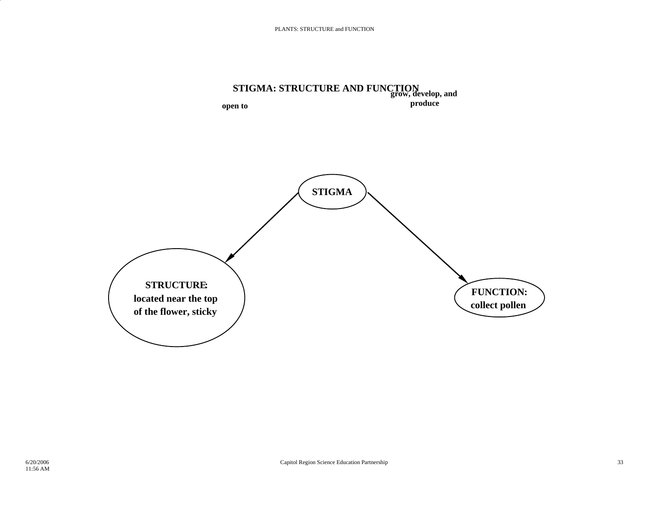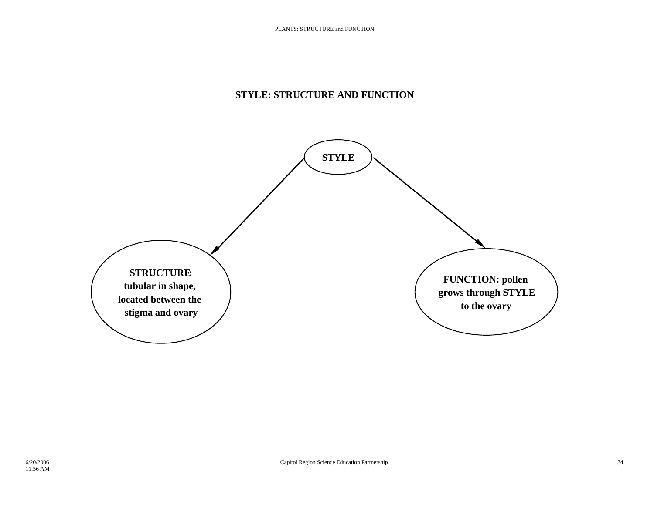## **STYLE: STRUCTURE AND FUNCTION**

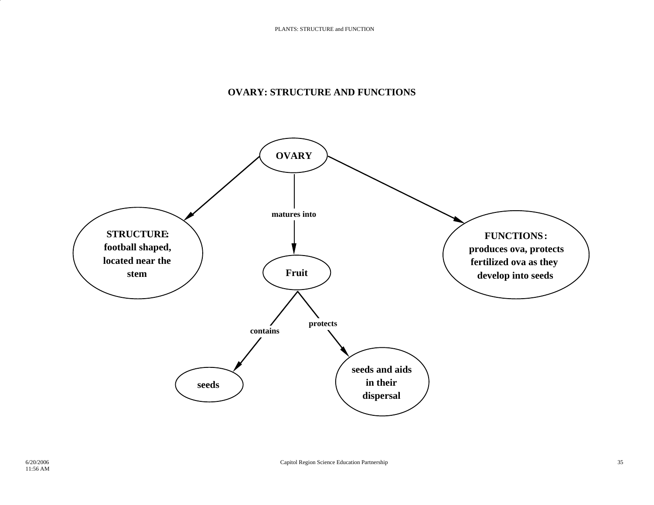### **OVARY: STRUCTURE AND FUNCTIONS**

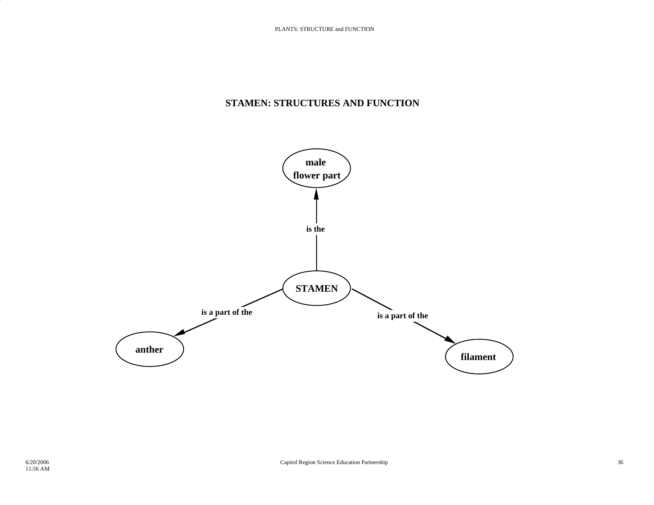### **STAMEN: STRUCTURES AND FUNCTION**

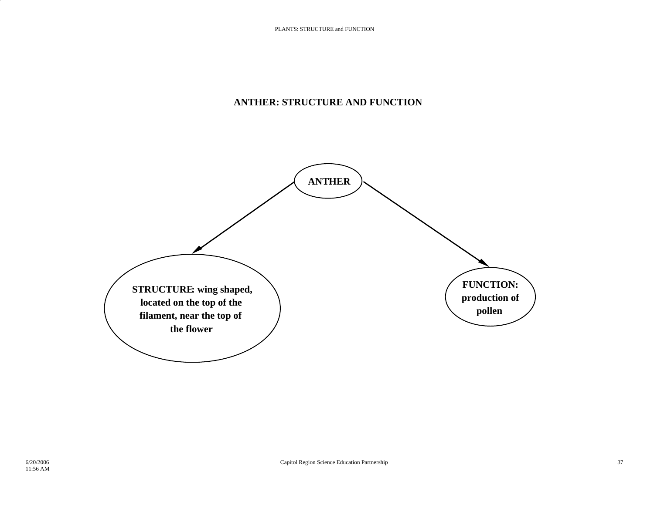## **ANTHER: STRUCTURE AND FUNCTION**

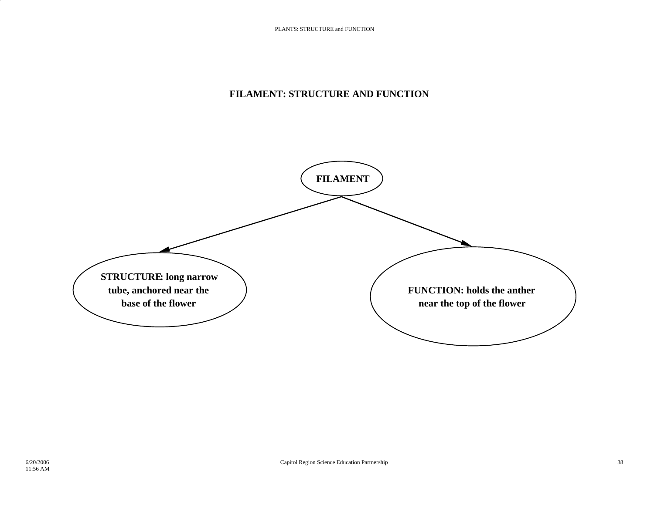## **FILAMENT: STRUCTURE AND FUNCTION**

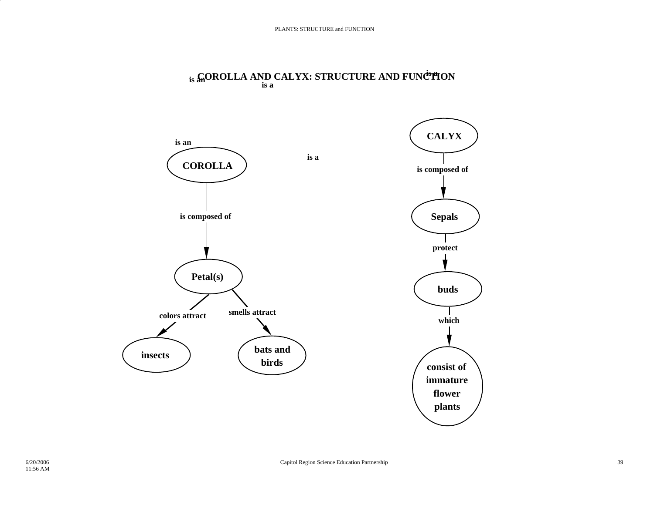

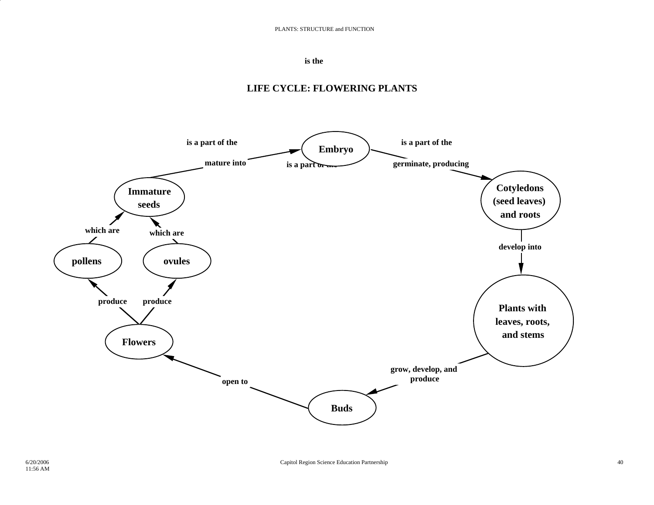#### **is the**

# **is a part of the** is a part or **is a part of the which are which aremature into germinate, producing develop into grow, develop, and produce produce produce open to Embryo Immature seeds pollens ovules Cotyledons (seed leaves) and roots Plants with leaves, roots, and stems Buds Flowers**

### **LIFE CYCLE: FLOWERING PLANTS**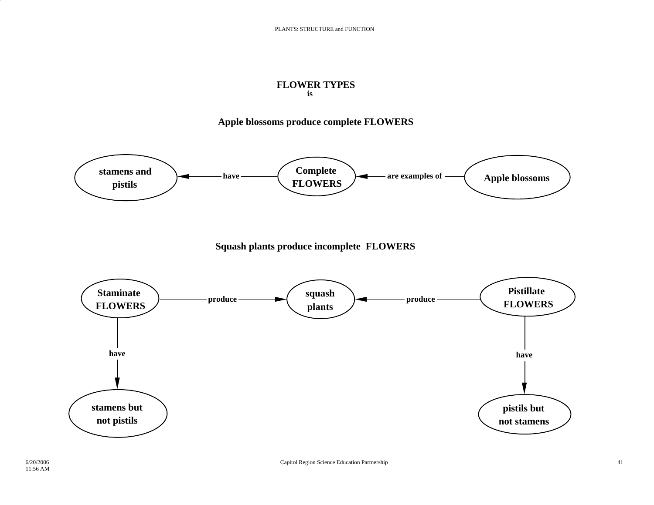#### **is FLOWER TYPES**

### **Apple blossoms produce complete FLOWERS**

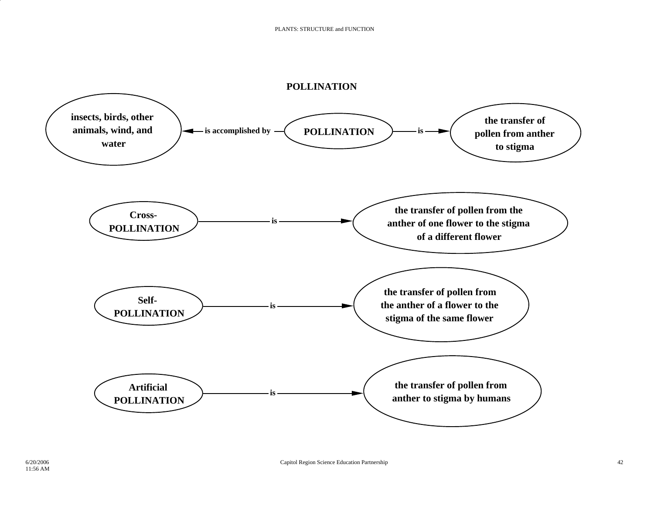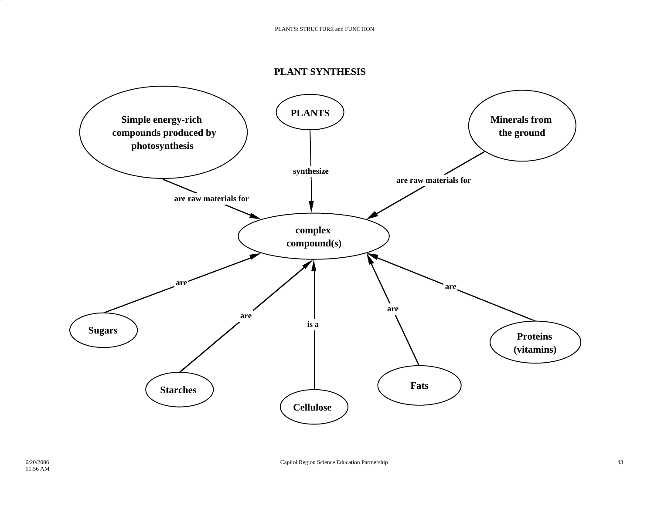### **PLANT SYNTHESIS**

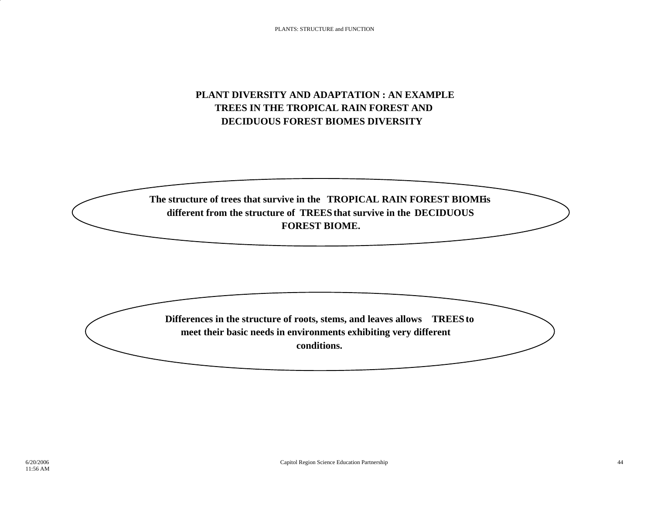# **PLANT DIVERSITY AND ADAPTATION : AN EXAMPLETREES IN THE TROPICAL RAIN FOREST ANDDECIDUOUS FOREST BIOMES DIVERSITY**

The structure of trees that survive in the **TROPICAL RAIN FOREST BIOME's different from the structure of TREES that survive in the DECIDUOUS FOREST BIOME.**

**Differences in the structure of roots, stems, and leaves allows TREES to meet their basic needs in environments exhibiting very different conditions.**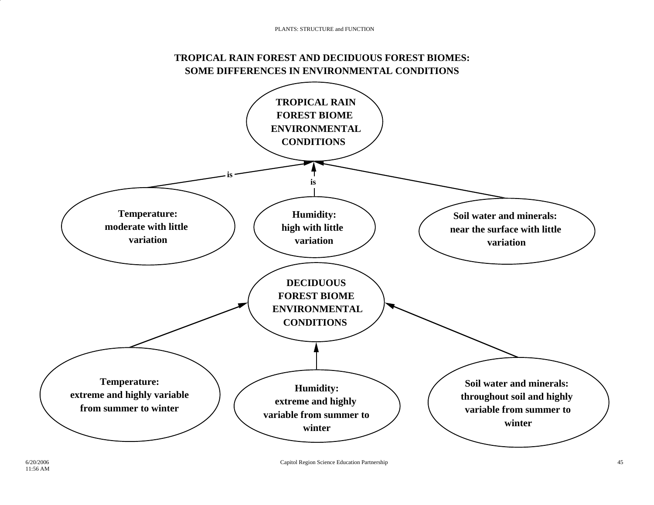# **TROPICAL RAIN FOREST AND DECIDUOUS FOREST BIOMES: SOME DIFFERENCES IN ENVIRONMENTAL CONDITIONS**

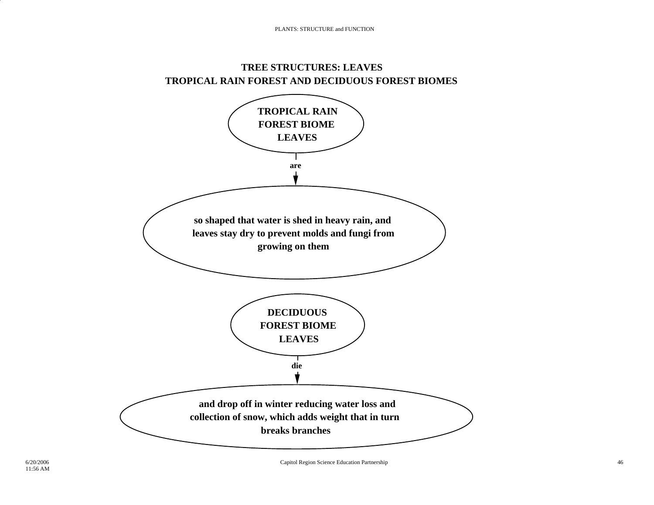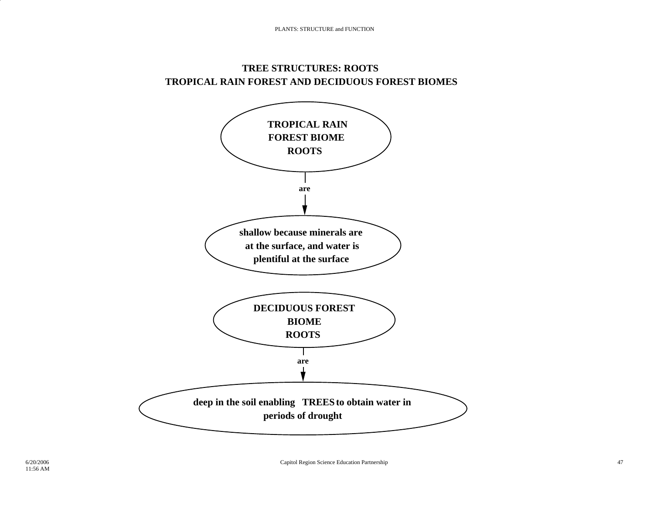## **TREE STRUCTURES: ROOTS TROPICAL RAIN FOREST AND DECIDUOUS FOREST BIOMES**

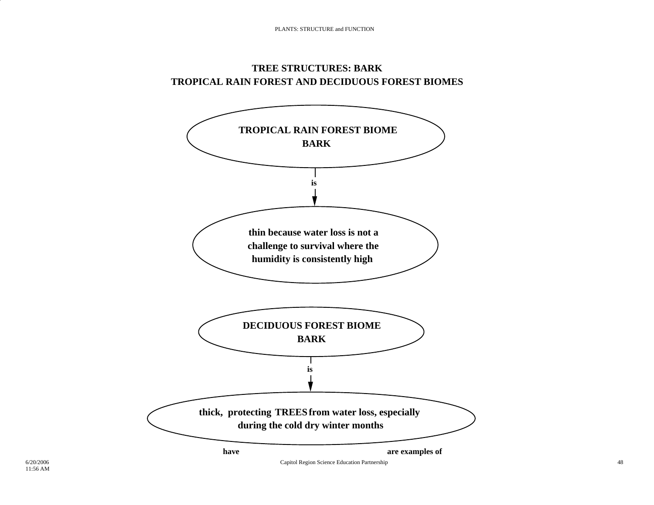## **TREE STRUCTURES: BARKTROPICAL RAIN FOREST AND DECIDUOUS FOREST BIOMES**

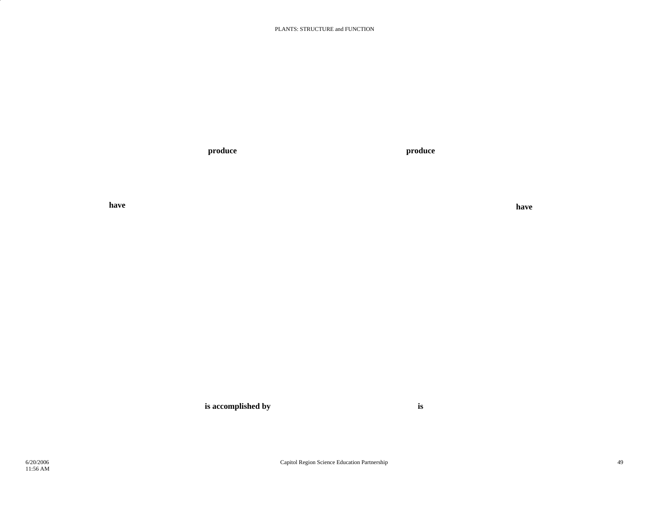#### PLANTS: STRUCTURE and FUNCTION

**produce produce** 

**have**

**have**

**is accomplished by is**